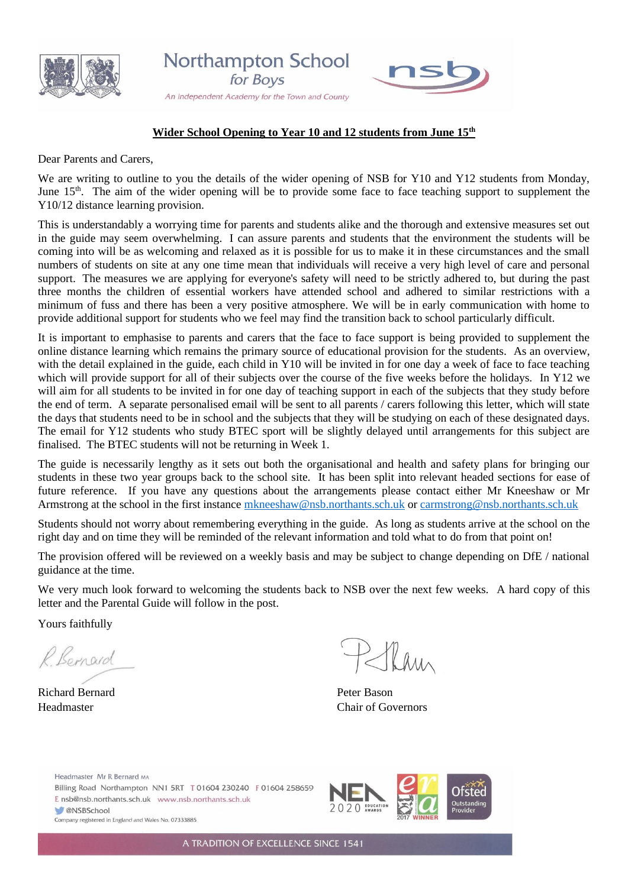





#### **Wider School Opening to Year 10 and 12 students from June 15th**

Dear Parents and Carers,

We are writing to outline to you the details of the wider opening of NSB for Y10 and Y12 students from Monday, June  $15<sup>th</sup>$ . The aim of the wider opening will be to provide some face to face teaching support to supplement the Y10/12 distance learning provision.

This is understandably a worrying time for parents and students alike and the thorough and extensive measures set out in the guide may seem overwhelming. I can assure parents and students that the environment the students will be coming into will be as welcoming and relaxed as it is possible for us to make it in these circumstances and the small numbers of students on site at any one time mean that individuals will receive a very high level of care and personal support. The measures we are applying for everyone's safety will need to be strictly adhered to, but during the past three months the children of essential workers have attended school and adhered to similar restrictions with a minimum of fuss and there has been a very positive atmosphere. We will be in early communication with home to provide additional support for students who we feel may find the transition back to school particularly difficult.

It is important to emphasise to parents and carers that the face to face support is being provided to supplement the online distance learning which remains the primary source of educational provision for the students. As an overview, with the detail explained in the guide, each child in Y10 will be invited in for one day a week of face to face teaching which will provide support for all of their subjects over the course of the five weeks before the holidays. In Y12 we will aim for all students to be invited in for one day of teaching support in each of the subjects that they study before the end of term. A separate personalised email will be sent to all parents / carers following this letter, which will state the days that students need to be in school and the subjects that they will be studying on each of these designated days. The email for Y12 students who study BTEC sport will be slightly delayed until arrangements for this subject are finalised. The BTEC students will not be returning in Week 1.

The guide is necessarily lengthy as it sets out both the organisational and health and safety plans for bringing our students in these two year groups back to the school site. It has been split into relevant headed sections for ease of future reference. If you have any questions about the arrangements please contact either Mr Kneeshaw or Mr Armstrong at the school in the first instance [mkneeshaw@nsb.northants.sch.uk](mailto:mkneeshaw@nsb.northants.sch.uk) or [carmstrong@nsb.northants.sch.uk](mailto:carmstrong@nsb.northants.sch.uk)

Students should not worry about remembering everything in the guide. As long as students arrive at the school on the right day and on time they will be reminded of the relevant information and told what to do from that point on!

The provision offered will be reviewed on a weekly basis and may be subject to change depending on DfE / national guidance at the time.

We very much look forward to welcoming the students back to NSB over the next few weeks. A hard copy of this letter and the Parental Guide will follow in the post.

Yours faithfully

R Bernard

Richard Bernard **Peter Bason** 

Tham

Headmaster Chair of Governors

Headmaster Mr R Bernard MA Billing Road Northampton NN1 5RT T 01604 230240 F 01604 258659 E nsb@nsb.northants.sch.uk www.nsb.northants.sch.uk **CONSBSchool** Company registered in England and Wales No. 07333885



A TRADITION OF EXCELLENCE SINCE 1541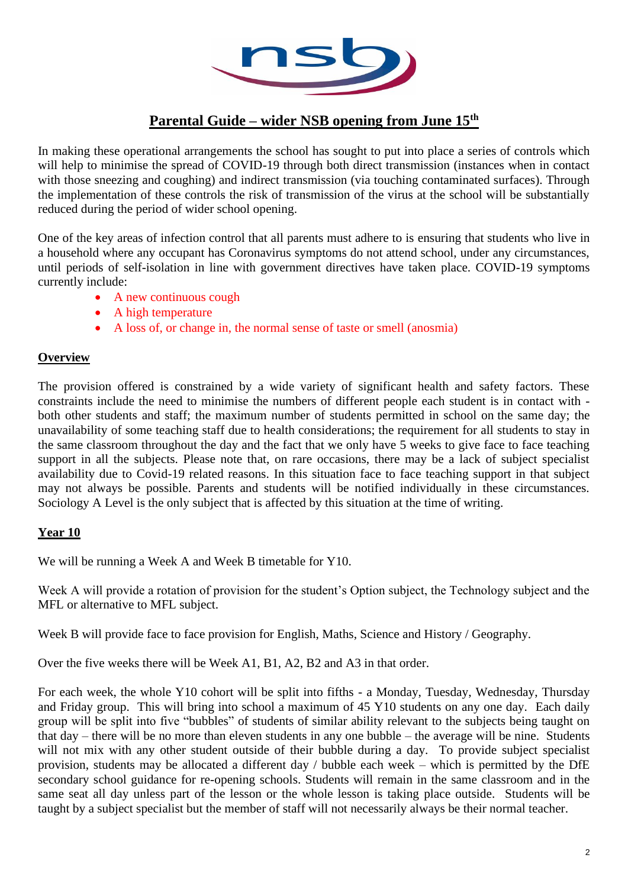

# **Parental Guide – wider NSB opening from June 15th**

In making these operational arrangements the school has sought to put into place a series of controls which will help to minimise the spread of COVID-19 through both direct transmission (instances when in contact with those sneezing and coughing) and indirect transmission (via touching contaminated surfaces). Through the implementation of these controls the risk of transmission of the virus at the school will be substantially reduced during the period of wider school opening.

One of the key areas of infection control that all parents must adhere to is ensuring that students who live in a household where any occupant has Coronavirus symptoms do not attend school, under any circumstances, until periods of self-isolation in line with government directives have taken place. COVID-19 symptoms currently include:

- A new continuous cough
- A high temperature
- A loss of, or change in, the normal sense of taste or smell (anosmia)

### **Overview**

The provision offered is constrained by a wide variety of significant health and safety factors. These constraints include the need to minimise the numbers of different people each student is in contact with both other students and staff; the maximum number of students permitted in school on the same day; the unavailability of some teaching staff due to health considerations; the requirement for all students to stay in the same classroom throughout the day and the fact that we only have 5 weeks to give face to face teaching support in all the subjects. Please note that, on rare occasions, there may be a lack of subject specialist availability due to Covid-19 related reasons. In this situation face to face teaching support in that subject may not always be possible. Parents and students will be notified individually in these circumstances. Sociology A Level is the only subject that is affected by this situation at the time of writing.

### **Year 10**

We will be running a Week A and Week B timetable for Y10.

Week A will provide a rotation of provision for the student's Option subject, the Technology subject and the MFL or alternative to MFL subject.

Week B will provide face to face provision for English, Maths, Science and History / Geography.

Over the five weeks there will be Week A1, B1, A2, B2 and A3 in that order.

For each week, the whole Y10 cohort will be split into fifths - a Monday, Tuesday, Wednesday, Thursday and Friday group. This will bring into school a maximum of 45 Y10 students on any one day. Each daily group will be split into five "bubbles" of students of similar ability relevant to the subjects being taught on that day – there will be no more than eleven students in any one bubble – the average will be nine. Students will not mix with any other student outside of their bubble during a day. To provide subject specialist provision, students may be allocated a different day / bubble each week – which is permitted by the DfE secondary school guidance for re-opening schools. Students will remain in the same classroom and in the same seat all day unless part of the lesson or the whole lesson is taking place outside. Students will be taught by a subject specialist but the member of staff will not necessarily always be their normal teacher.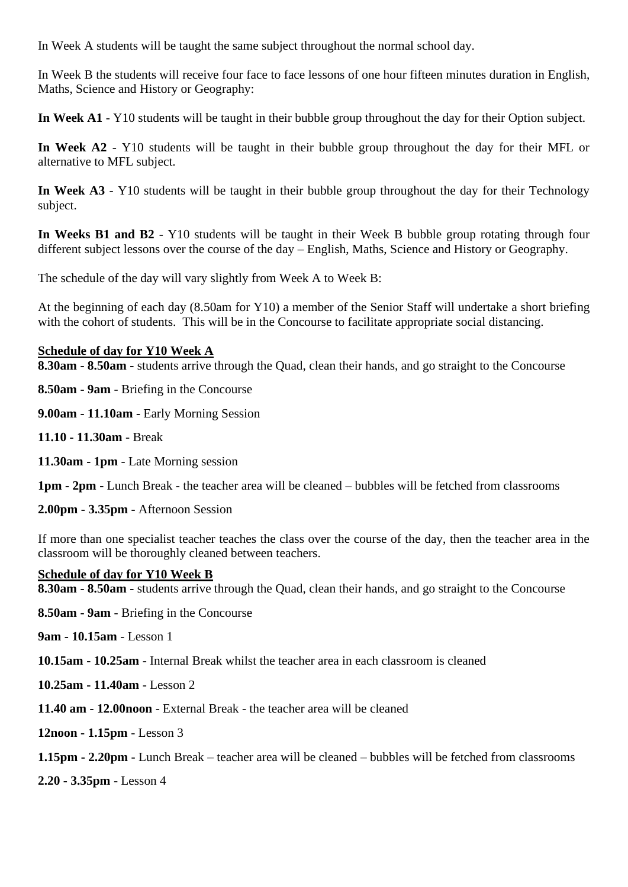In Week A students will be taught the same subject throughout the normal school day.

In Week B the students will receive four face to face lessons of one hour fifteen minutes duration in English, Maths, Science and History or Geography:

**In Week A1** - Y10 students will be taught in their bubble group throughout the day for their Option subject.

**In Week A2** - Y10 students will be taught in their bubble group throughout the day for their MFL or alternative to MFL subject.

**In Week A3** - Y10 students will be taught in their bubble group throughout the day for their Technology subject.

**In Weeks B1 and B2** - Y10 students will be taught in their Week B bubble group rotating through four different subject lessons over the course of the day – English, Maths, Science and History or Geography.

The schedule of the day will vary slightly from Week A to Week B:

At the beginning of each day (8.50am for Y10) a member of the Senior Staff will undertake a short briefing with the cohort of students. This will be in the Concourse to facilitate appropriate social distancing.

#### **Schedule of day for Y10 Week A**

**8.30am - 8.50am -** students arrive through the Quad, clean their hands, and go straight to the Concourse

**8.50am - 9am** - Briefing in the Concourse

**9.00am - 11.10am -** Early Morning Session

- **11.10 - 11.30am** Break
- **11.30am - 1pm** Late Morning session

**1pm - 2pm -** Lunch Break - the teacher area will be cleaned – bubbles will be fetched from classrooms

**2.00pm - 3.35pm -** Afternoon Session

If more than one specialist teacher teaches the class over the course of the day, then the teacher area in the classroom will be thoroughly cleaned between teachers.

#### **Schedule of day for Y10 Week B**

**8.30am - 8.50am -** students arrive through the Quad, clean their hands, and go straight to the Concourse

**8.50am - 9am** - Briefing in the Concourse

**9am - 10.15am** - Lesson 1

**10.15am - 10.25am** - Internal Break whilst the teacher area in each classroom is cleaned

- **10.25am - 11.40am** Lesson 2
- **11.40 am - 12.00noon** External Break the teacher area will be cleaned

**12noon - 1.15pm** - Lesson 3

**1.15pm - 2.20pm** - Lunch Break – teacher area will be cleaned – bubbles will be fetched from classrooms

**2.20 - 3.35pm** - Lesson 4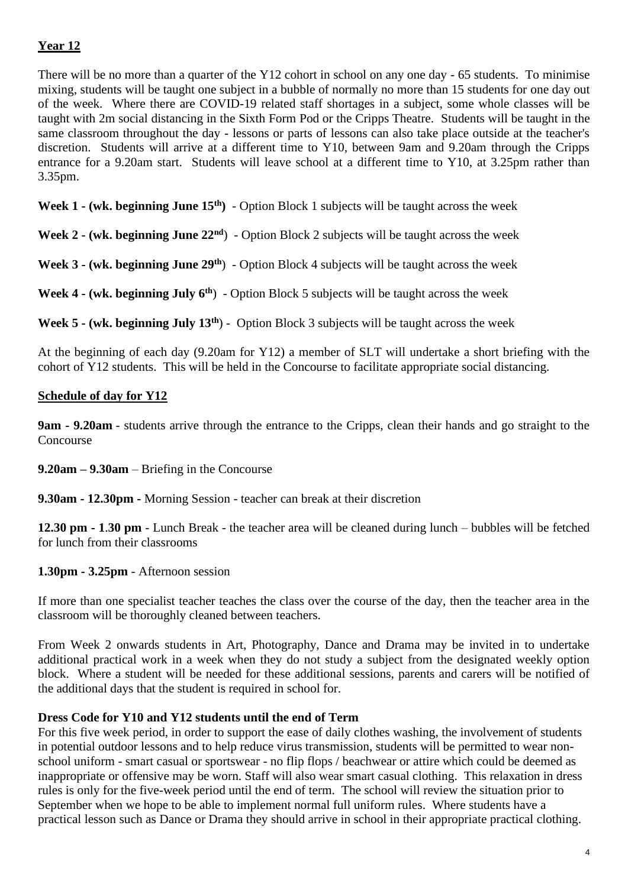# **Year 12**

There will be no more than a quarter of the Y12 cohort in school on any one day - 65 students. To minimise mixing, students will be taught one subject in a bubble of normally no more than 15 students for one day out of the week. Where there are COVID-19 related staff shortages in a subject, some whole classes will be taught with 2m social distancing in the Sixth Form Pod or the Cripps Theatre. Students will be taught in the same classroom throughout the day - lessons or parts of lessons can also take place outside at the teacher's discretion. Students will arrive at a different time to Y10, between 9am and 9.20am through the Cripps entrance for a 9.20am start. Students will leave school at a different time to Y10, at 3.25pm rather than 3.35pm.

**Week 1 - (wk. beginning June 15th)** - Option Block 1 subjects will be taught across the week

**Week 2 - (wk. beginning June 22nd**) - Option Block 2 subjects will be taught across the week

**Week 3 - (wk. beginning June 29th**) - Option Block 4 subjects will be taught across the week

**Week 4 - (wk. beginning July 6th**) - Option Block 5 subjects will be taught across the week

**Week 5 - (wk. beginning July 13th**) - Option Block 3 subjects will be taught across the week

At the beginning of each day (9.20am for Y12) a member of SLT will undertake a short briefing with the cohort of Y12 students. This will be held in the Concourse to facilitate appropriate social distancing.

# **Schedule of day for Y12**

**9am - 9.20am** - students arrive through the entrance to the Cripps, clean their hands and go straight to the Concourse

**9.20am – 9.30am** – Briefing in the Concourse

**9.30am - 12.30pm -** Morning Session - teacher can break at their discretion

**12.30 pm - 1**.**30 pm** - Lunch Break - the teacher area will be cleaned during lunch – bubbles will be fetched for lunch from their classrooms

**1.30pm - 3.25pm** - Afternoon session

If more than one specialist teacher teaches the class over the course of the day, then the teacher area in the classroom will be thoroughly cleaned between teachers.

From Week 2 onwards students in Art, Photography, Dance and Drama may be invited in to undertake additional practical work in a week when they do not study a subject from the designated weekly option block. Where a student will be needed for these additional sessions, parents and carers will be notified of the additional days that the student is required in school for.

### **Dress Code for Y10 and Y12 students until the end of Term**

For this five week period, in order to support the ease of daily clothes washing, the involvement of students in potential outdoor lessons and to help reduce virus transmission, students will be permitted to wear nonschool uniform - smart casual or sportswear - no flip flops / beachwear or attire which could be deemed as inappropriate or offensive may be worn. Staff will also wear smart casual clothing. This relaxation in dress rules is only for the five-week period until the end of term. The school will review the situation prior to September when we hope to be able to implement normal full uniform rules. Where students have a practical lesson such as Dance or Drama they should arrive in school in their appropriate practical clothing.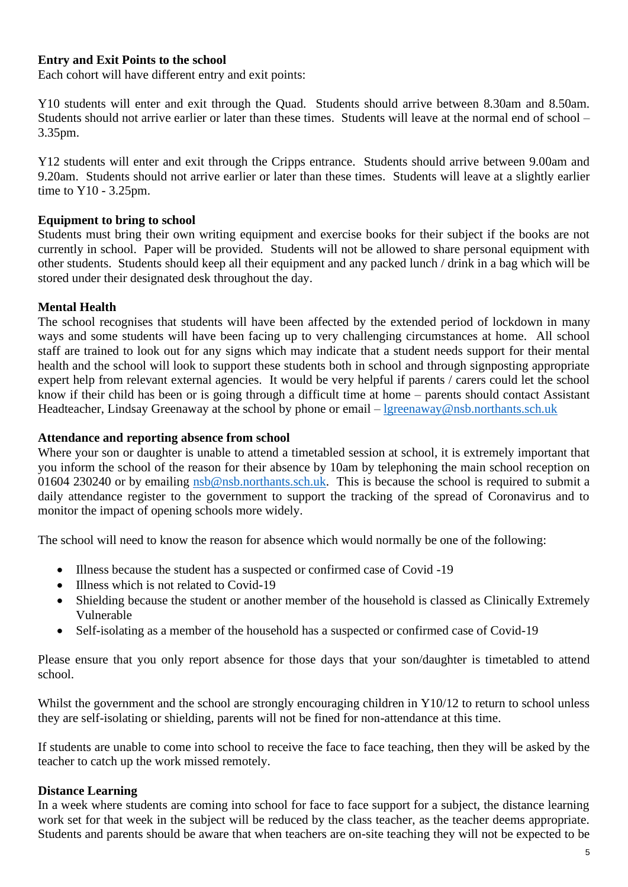### **Entry and Exit Points to the school**

Each cohort will have different entry and exit points:

Y10 students will enter and exit through the Quad. Students should arrive between 8.30am and 8.50am. Students should not arrive earlier or later than these times. Students will leave at the normal end of school – 3.35pm.

Y12 students will enter and exit through the Cripps entrance. Students should arrive between 9.00am and 9.20am. Students should not arrive earlier or later than these times. Students will leave at a slightly earlier time to Y10 - 3.25pm.

#### **Equipment to bring to school**

Students must bring their own writing equipment and exercise books for their subject if the books are not currently in school. Paper will be provided. Students will not be allowed to share personal equipment with other students. Students should keep all their equipment and any packed lunch / drink in a bag which will be stored under their designated desk throughout the day.

### **Mental Health**

The school recognises that students will have been affected by the extended period of lockdown in many ways and some students will have been facing up to very challenging circumstances at home. All school staff are trained to look out for any signs which may indicate that a student needs support for their mental health and the school will look to support these students both in school and through signposting appropriate expert help from relevant external agencies. It would be very helpful if parents / carers could let the school know if their child has been or is going through a difficult time at home – parents should contact Assistant Headteacher, Lindsay Greenaway at the school by phone or email – [lgreenaway@nsb.northants.sch.uk](mailto:lgreenaway@nsb.northants.sch.uk)

#### **Attendance and reporting absence from school**

Where your son or daughter is unable to attend a timetabled session at school, it is extremely important that you inform the school of the reason for their absence by 10am by telephoning the main school reception on 01604 230240 or by emailing [nsb@nsb.northants.sch.uk.](mailto:nsb@nsb.northants.sch.uk) This is because the school is required to submit a daily attendance register to the government to support the tracking of the spread of Coronavirus and to monitor the impact of opening schools more widely.

The school will need to know the reason for absence which would normally be one of the following:

- Illness because the student has a suspected or confirmed case of Covid -19
- Illness which is not related to Covid-19
- Shielding because the student or another member of the household is classed as Clinically Extremely Vulnerable
- Self-isolating as a member of the household has a suspected or confirmed case of Covid-19

Please ensure that you only report absence for those days that your son/daughter is timetabled to attend school.

Whilst the government and the school are strongly encouraging children in Y10/12 to return to school unless they are self-isolating or shielding, parents will not be fined for non-attendance at this time.

If students are unable to come into school to receive the face to face teaching, then they will be asked by the teacher to catch up the work missed remotely.

#### **Distance Learning**

In a week where students are coming into school for face to face support for a subject, the distance learning work set for that week in the subject will be reduced by the class teacher, as the teacher deems appropriate. Students and parents should be aware that when teachers are on-site teaching they will not be expected to be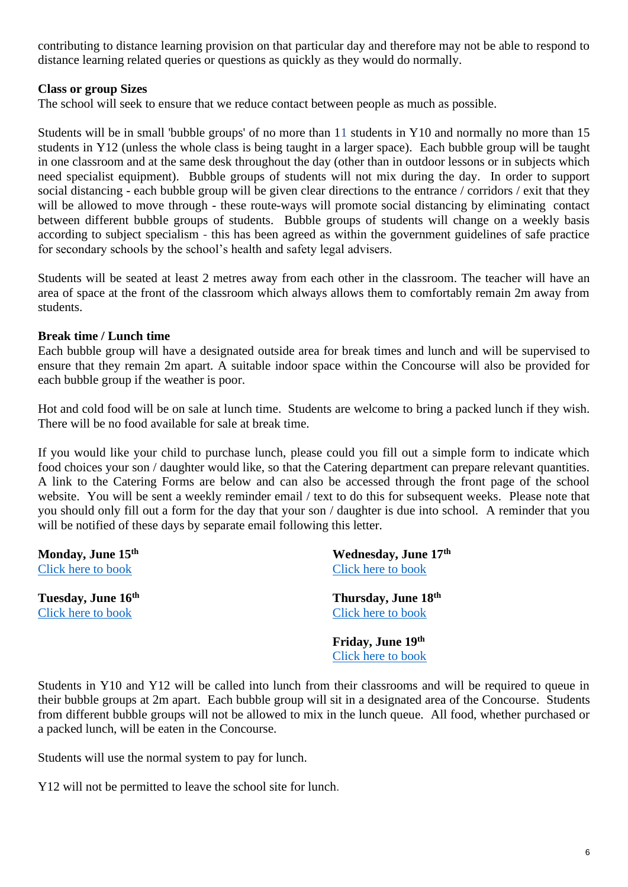contributing to distance learning provision on that particular day and therefore may not be able to respond to distance learning related queries or questions as quickly as they would do normally.

### **Class or group Sizes**

The school will seek to ensure that we reduce contact between people as much as possible.

Students will be in small 'bubble groups' of no more than 11 students in Y10 and normally no more than 15 students in Y12 (unless the whole class is being taught in a larger space). Each bubble group will be taught in one classroom and at the same desk throughout the day (other than in outdoor lessons or in subjects which need specialist equipment). Bubble groups of students will not mix during the day. In order to support social distancing - each bubble group will be given clear directions to the entrance / corridors / exit that they will be allowed to move through - these route-ways will promote social distancing by eliminating contact between different bubble groups of students. Bubble groups of students will change on a weekly basis according to subject specialism - this has been agreed as within the government guidelines of safe practice for secondary schools by the school's health and safety legal advisers.

Students will be seated at least 2 metres away from each other in the classroom. The teacher will have an area of space at the front of the classroom which always allows them to comfortably remain 2m away from students.

### **Break time / Lunch time**

Each bubble group will have a designated outside area for break times and lunch and will be supervised to ensure that they remain 2m apart. A suitable indoor space within the Concourse will also be provided for each bubble group if the weather is poor.

Hot and cold food will be on sale at lunch time. Students are welcome to bring a packed lunch if they wish. There will be no food available for sale at break time.

If you would like your child to purchase lunch, please could you fill out a simple form to indicate which food choices your son / daughter would like, so that the Catering department can prepare relevant quantities. A link to the Catering Forms are below and can also be accessed through the front page of the school website. You will be sent a weekly reminder email / text to do this for subsequent weeks. Please note that you should only fill out a form for the day that your son / daughter is due into school. A reminder that you will be notified of these days by separate email following this letter.

**Monday, June 15th** [Click here to book](https://forms.office.com/Pages/ResponsePage.aspx?id=CfiNNtCLj0qvVhLw4CceDJehuQLqQJJKoK6INNZDiuJUOVZaWlBRVldGTUlNTzkwMTQzUlpLSVc2My4u)

**Tuesday, June 16th** [Click here to book](https://forms.office.com/Pages/ResponsePage.aspx?id=CfiNNtCLj0qvVhLw4CceDJehuQLqQJJKoK6INNZDiuJUMTBNUkdLWUM4MUVYVzVQSlgwWlhVSThQSC4u)

**Wednesday, June 17th** [Click here to book](https://forms.office.com/Pages/ResponsePage.aspx?id=CfiNNtCLj0qvVhLw4CceDJehuQLqQJJKoK6INNZDiuJURFNNNTVMNlRYNVpLSUhEVkMxWDRWVUFMMS4u)

**Thursday, June 18th** [Click here to book](https://forms.office.com/Pages/ResponsePage.aspx?id=CfiNNtCLj0qvVhLw4CceDJehuQLqQJJKoK6INNZDiuJUQjZHNFE1VlpZMElNVk1SUllUVkdBN1M4Ny4u)

**Friday, June 19th** [Click here to book](https://forms.office.com/Pages/ResponsePage.aspx?id=CfiNNtCLj0qvVhLw4CceDJehuQLqQJJKoK6INNZDiuJUM0ZFU0paVUE2QU1IMkkxTVEwQTJUN1NWTC4u)

Students in Y10 and Y12 will be called into lunch from their classrooms and will be required to queue in their bubble groups at 2m apart. Each bubble group will sit in a designated area of the Concourse. Students from different bubble groups will not be allowed to mix in the lunch queue. All food, whether purchased or a packed lunch, will be eaten in the Concourse.

Students will use the normal system to pay for lunch.

Y12 will not be permitted to leave the school site for lunch.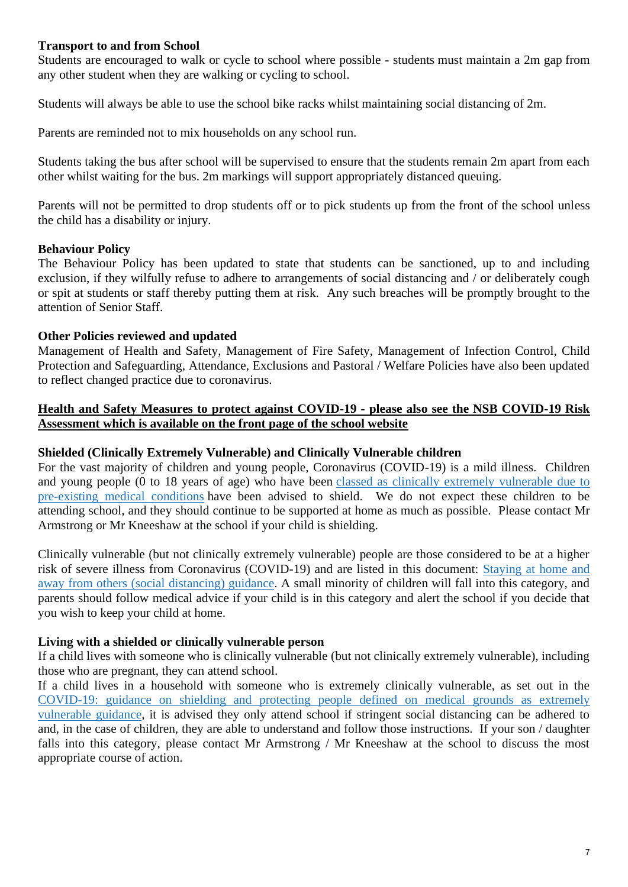### **Transport to and from School**

Students are encouraged to walk or cycle to school where possible - students must maintain a 2m gap from any other student when they are walking or cycling to school.

Students will always be able to use the school bike racks whilst maintaining social distancing of 2m.

Parents are reminded not to mix households on any school run.

Students taking the bus after school will be supervised to ensure that the students remain 2m apart from each other whilst waiting for the bus. 2m markings will support appropriately distanced queuing.

Parents will not be permitted to drop students off or to pick students up from the front of the school unless the child has a disability or injury.

### **Behaviour Policy**

The Behaviour Policy has been updated to state that students can be sanctioned, up to and including exclusion, if they wilfully refuse to adhere to arrangements of social distancing and / or deliberately cough or spit at students or staff thereby putting them at risk. Any such breaches will be promptly brought to the attention of Senior Staff.

### **Other Policies reviewed and updated**

Management of Health and Safety, Management of Fire Safety, Management of Infection Control, Child Protection and Safeguarding, Attendance, Exclusions and Pastoral / Welfare Policies have also been updated to reflect changed practice due to coronavirus.

### **Health and Safety Measures to protect against COVID-19 - please also see the NSB COVID-19 Risk Assessment which is available on the front page of the school website**

#### **Shielded (Clinically Extremely Vulnerable) and Clinically Vulnerable children**

For the vast majority of children and young people, Coronavirus (COVID-19) is a mild illness. Children and young people (0 to 18 years of age) who have been classed as clinically extremely [vulnerable](https://www.gov.uk/government/publications/guidance-on-shielding-and-protecting-extremely-vulnerable-persons-from-covid-19/covid-19-guidance-on-protecting-people-most-likely-to-get-unwell-from-coronavirus-shielding-young-peoples-version) due to [pre-existing](https://www.gov.uk/government/publications/guidance-on-shielding-and-protecting-extremely-vulnerable-persons-from-covid-19/covid-19-guidance-on-protecting-people-most-likely-to-get-unwell-from-coronavirus-shielding-young-peoples-version) medical conditions have been advised to shield. We do not expect these children to be attending school, and they should continue to be supported at home as much as possible. Please contact Mr Armstrong or Mr Kneeshaw at the school if your child is shielding.

Clinically vulnerable (but not clinically extremely vulnerable) people are those considered to be at a higher risk of severe illness from Coronavirus (COVID-19) and are listed in this document: [Staying](https://www.gov.uk/government/publications/staying-alert-and-safe-social-distancing/staying-alert-and-safe-social-distancing#clinically-vulnerable-people) at home and away from others (social [distancing\)](https://www.gov.uk/government/publications/staying-alert-and-safe-social-distancing/staying-alert-and-safe-social-distancing#clinically-vulnerable-people) guidance. A small minority of children will fall into this category, and parents should follow medical advice if your child is in this category and alert the school if you decide that you wish to keep your child at home.

#### **Living with a shielded or clinically vulnerable person**

If a child lives with someone who is clinically vulnerable (but not clinically extremely vulnerable), including those who are pregnant, they can attend school.

If a child lives in a household with someone who is extremely clinically vulnerable, as set out in the [COVID-19:](https://www.gov.uk/government/publications/guidance-on-shielding-and-protecting-extremely-vulnerable-persons-from-covid-19) guidance on shielding and protecting people defined on medical grounds as extremely [vulnerable](https://www.gov.uk/government/publications/guidance-on-shielding-and-protecting-extremely-vulnerable-persons-from-covid-19) guidance, it is advised they only attend school if stringent social distancing can be adhered to and, in the case of children, they are able to understand and follow those instructions. If your son / daughter falls into this category, please contact Mr Armstrong / Mr Kneeshaw at the school to discuss the most appropriate course of action.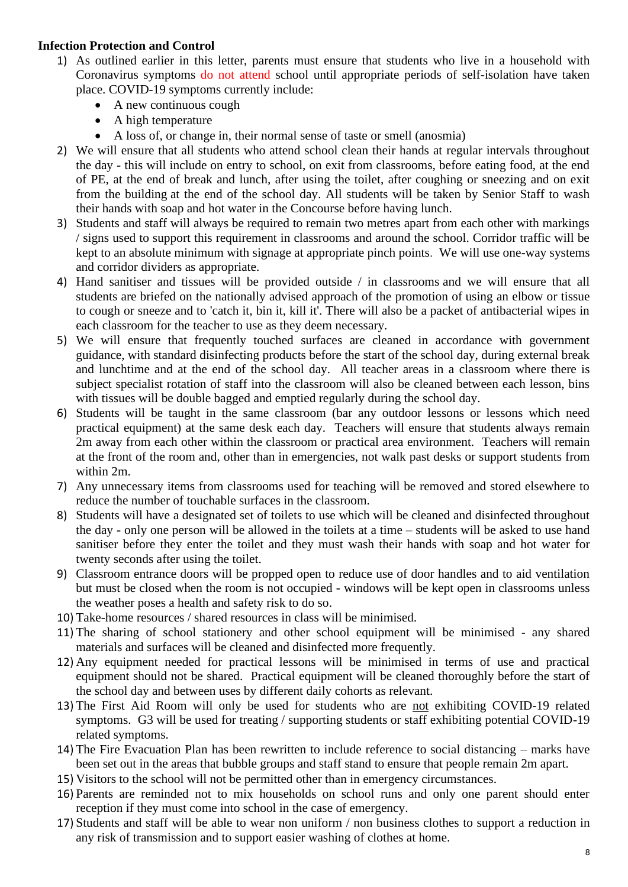### **Infection Protection and Control**

- 1) As outlined earlier in this letter, parents must ensure that students who live in a household with Coronavirus symptoms do not attend school until appropriate periods of self-isolation have taken place. COVID-19 symptoms currently include:
	- A new continuous cough
	- A high temperature
	- A loss of, or change in, their normal sense of taste or smell (anosmia)
- 2) We will ensure that all students who attend school clean their hands at regular intervals throughout the day - this will include on entry to school, on exit from classrooms, before eating food, at the end of PE, at the end of break and lunch, after using the toilet, after coughing or sneezing and on exit from the building at the end of the school day. All students will be taken by Senior Staff to wash their hands with soap and hot water in the Concourse before having lunch.
- 3) Students and staff will always be required to remain two metres apart from each other with markings / signs used to support this requirement in classrooms and around the school. Corridor traffic will be kept to an absolute minimum with signage at appropriate pinch points. We will use one-way systems and corridor dividers as appropriate.
- 4) Hand sanitiser and tissues will be provided outside / in classrooms and we will ensure that all students are briefed on the nationally advised approach of the promotion of using an elbow or tissue to cough or sneeze and to 'catch it, bin it, kill it'. There will also be a packet of antibacterial wipes in each classroom for the teacher to use as they deem necessary.
- 5) We will ensure that frequently touched surfaces are cleaned in accordance with government guidance, with standard disinfecting products before the start of the school day, during external break and lunchtime and at the end of the school day. All teacher areas in a classroom where there is subject specialist rotation of staff into the classroom will also be cleaned between each lesson, bins with tissues will be double bagged and emptied regularly during the school day.
- 6) Students will be taught in the same classroom (bar any outdoor lessons or lessons which need practical equipment) at the same desk each day. Teachers will ensure that students always remain 2m away from each other within the classroom or practical area environment. Teachers will remain at the front of the room and, other than in emergencies, not walk past desks or support students from within 2m.
- 7) Any unnecessary items from classrooms used for teaching will be removed and stored elsewhere to reduce the number of touchable surfaces in the classroom.
- 8) Students will have a designated set of toilets to use which will be cleaned and disinfected throughout the day - only one person will be allowed in the toilets at a time – students will be asked to use hand sanitiser before they enter the toilet and they must wash their hands with soap and hot water for twenty seconds after using the toilet.
- 9) Classroom entrance doors will be propped open to reduce use of door handles and to aid ventilation but must be closed when the room is not occupied - windows will be kept open in classrooms unless the weather poses a health and safety risk to do so.
- 10) Take-home resources / shared resources in class will be minimised.
- 11) The sharing of school stationery and other school equipment will be minimised any shared materials and surfaces will be cleaned and disinfected more frequently.
- 12) Any equipment needed for practical lessons will be minimised in terms of use and practical equipment should not be shared. Practical equipment will be cleaned thoroughly before the start of the school day and between uses by different daily cohorts as relevant.
- 13) The First Aid Room will only be used for students who are not exhibiting COVID-19 related symptoms. G3 will be used for treating / supporting students or staff exhibiting potential COVID-19 related symptoms.
- 14) The Fire Evacuation Plan has been rewritten to include reference to social distancing marks have been set out in the areas that bubble groups and staff stand to ensure that people remain 2m apart.
- 15) Visitors to the school will not be permitted other than in emergency circumstances.
- 16) Parents are reminded not to mix households on school runs and only one parent should enter reception if they must come into school in the case of emergency.
- 17) Students and staff will be able to wear non uniform / non business clothes to support a reduction in any risk of transmission and to support easier washing of clothes at home.